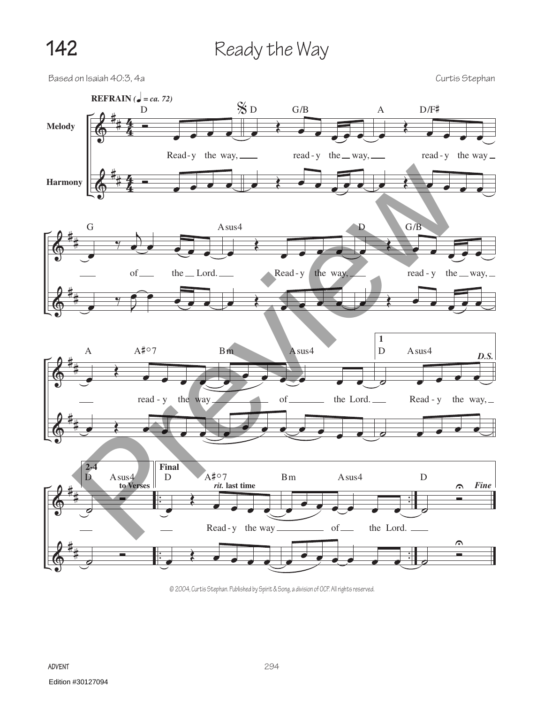

Based on Isaiah 40:3, 4a Curtis Stephan



© 2004, Curtis Stephan. Published by Spirit & Song, a division of OCP. All rights reserved.

**Advent**